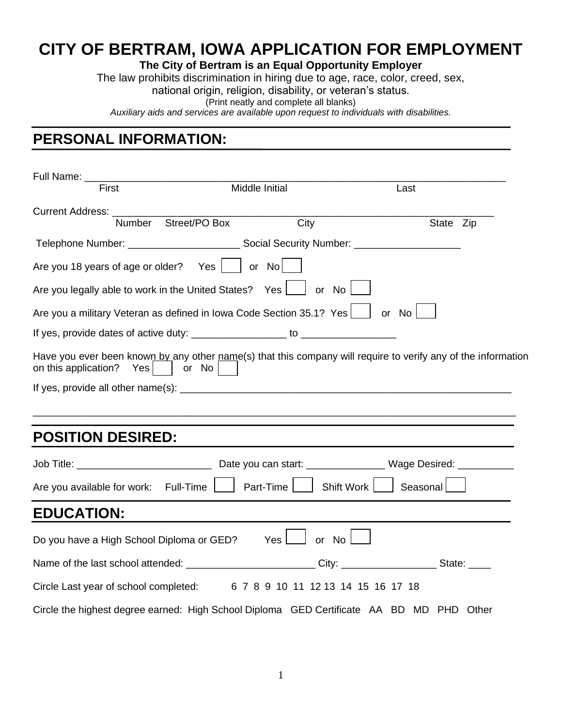## **CITY OF BERTRAM, IOWA APPLICATION FOR EMPLOYMENT**

## **The City of Bertram is an Equal Opportunity Employer**

The law prohibits discrimination in hiring due to age, race, color, creed, sex,

national origin, religion, disability, or veteran's status.

(Print neatly and complete all blanks)

*Auxiliary aids and services are available upon request to individuals with disabilities.*

## **PERSONAL INFORMATION:**

| First                                                                                                                                               | Middle Initial |      | Last      |  |
|-----------------------------------------------------------------------------------------------------------------------------------------------------|----------------|------|-----------|--|
| Current Address: ___________________                                                                                                                |                |      |           |  |
| Number Street/PO Box                                                                                                                                |                | City | State Zip |  |
|                                                                                                                                                     |                |      |           |  |
| Are you 18 years of age or older? Yes $ $ or No                                                                                                     |                |      |           |  |
| Are you legally able to work in the United States? Yes     or No                                                                                    |                |      |           |  |
| Are you a military Veteran as defined in Iowa Code Section 35.1? Yes $\lfloor \quad \rfloor$ or No $\lfloor$                                        |                |      |           |  |
|                                                                                                                                                     |                |      |           |  |
| Have you ever been known by any other name(s) that this company will require to verify any of the information<br>on this application? Yes     or No |                |      |           |  |
|                                                                                                                                                     |                |      |           |  |
|                                                                                                                                                     |                |      |           |  |
|                                                                                                                                                     |                |      |           |  |
| <b>POSITION DESIRED:</b>                                                                                                                            |                |      |           |  |
|                                                                                                                                                     |                |      |           |  |
| Are you available for work: Full-Time     Part-Time   Shift Work   Seasonal                                                                         |                |      |           |  |
| <b>EDUCATION:</b>                                                                                                                                   |                |      |           |  |
| Do you have a High School Diploma or GED? Yes ightarrow No ightarrow No ightarrow No ightarrow No ightarrow No                                      |                |      |           |  |
| Name of the last school attended: __________________________City: _____________________State: _____                                                 |                |      |           |  |
| Circle Last year of school completed: 6 7 8 9 10 11 12 13 14 15 16 17 18                                                                            |                |      |           |  |
| Circle the highest degree earned: High School Diploma GED Certificate AA BD MD PHD Other                                                            |                |      |           |  |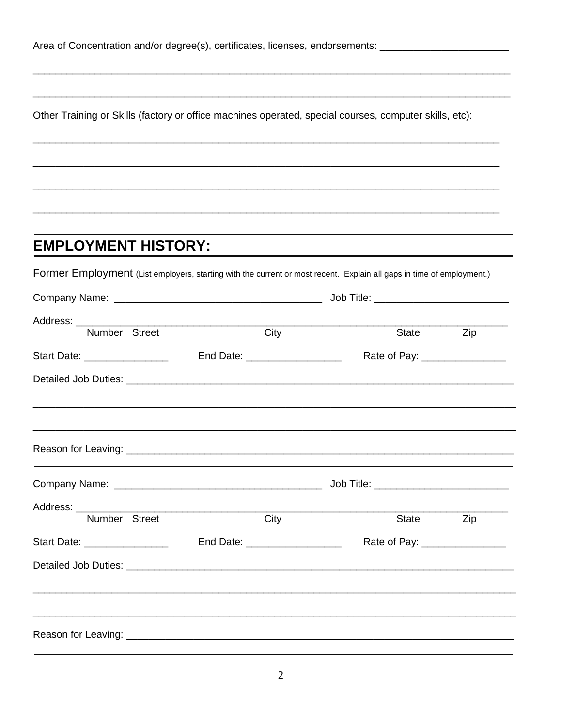|  |  |  | Area of Concentration and/or degree(s), certificates, licenses, endorsements: |
|--|--|--|-------------------------------------------------------------------------------|
|  |  |  |                                                                               |

Other Training or Skills (factory or office machines operated, special courses, computer skills, etc):

## **EMPLOYMENT HISTORY:**

Former Employment (List employers, starting with the current or most recent. Explain all gaps in time of employment.)

|                              |  |                                | Job Title: ______________________________                                        |     |  |
|------------------------------|--|--------------------------------|----------------------------------------------------------------------------------|-----|--|
| Number Street                |  | City                           | <b>State</b> State                                                               | Zip |  |
| Start Date: ________________ |  | End Date: ____________________ | Rate of Pay: ________________                                                    |     |  |
|                              |  |                                | ,我们也不能在这里的,我们也不能在这里的时候,我们也不能在这里的时候,我们也不能在这里的时候,我们也不能在这里的时候,我们也不能在这里的时候,我们也不能在这里的 |     |  |
|                              |  |                                |                                                                                  |     |  |
|                              |  |                                |                                                                                  |     |  |
|                              |  |                                |                                                                                  |     |  |
| Number Street                |  | City                           | State                                                                            | Zip |  |
| Start Date: ________________ |  | End Date: ____________________ | Rate of Pay: ________________                                                    |     |  |
|                              |  |                                |                                                                                  |     |  |
|                              |  |                                |                                                                                  |     |  |
|                              |  |                                |                                                                                  |     |  |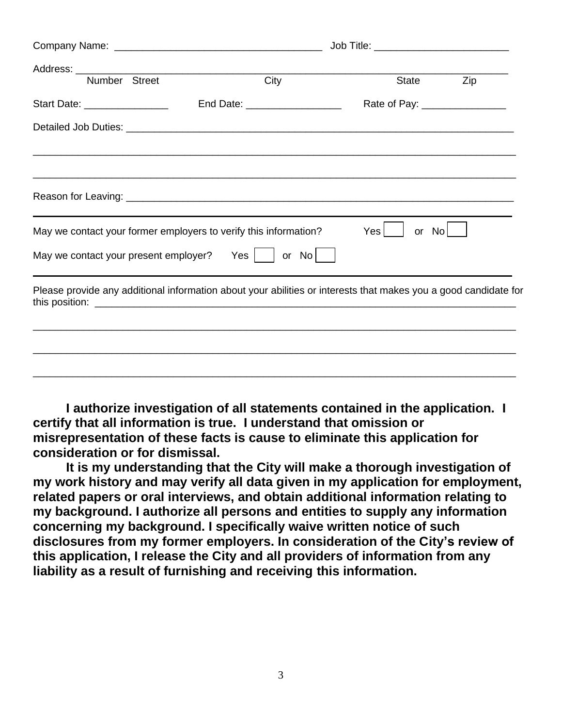|                              |                                                                                                                 | Job Title: _______________________________ |     |  |  |  |
|------------------------------|-----------------------------------------------------------------------------------------------------------------|--------------------------------------------|-----|--|--|--|
| Number Street                | City                                                                                                            | <b>State</b>                               | Zip |  |  |  |
| Start Date: ________________ | End Date: ____________________                                                                                  | Rate of Pay: __________________            |     |  |  |  |
|                              |                                                                                                                 |                                            |     |  |  |  |
|                              |                                                                                                                 |                                            |     |  |  |  |
|                              | May we contact your former employers to verify this information?                                                | Yes <sup>1</sup><br>or No                  |     |  |  |  |
|                              | May we contact your present employer? Yes $\vert$   or No                                                       |                                            |     |  |  |  |
|                              | Please provide any additional information about your abilities or interests that makes you a good candidate for |                                            |     |  |  |  |
|                              |                                                                                                                 |                                            |     |  |  |  |
|                              |                                                                                                                 |                                            |     |  |  |  |
|                              |                                                                                                                 |                                            |     |  |  |  |

**I authorize investigation of all statements contained in the application. I certify that all information is true. I understand that omission or misrepresentation of these facts is cause to eliminate this application for consideration or for dismissal.**

**It is my understanding that the City will make a thorough investigation of my work history and may verify all data given in my application for employment, related papers or oral interviews, and obtain additional information relating to my background. I authorize all persons and entities to supply any information concerning my background. I specifically waive written notice of such disclosures from my former employers. In consideration of the City's review of this application, I release the City and all providers of information from any liability as a result of furnishing and receiving this information.**